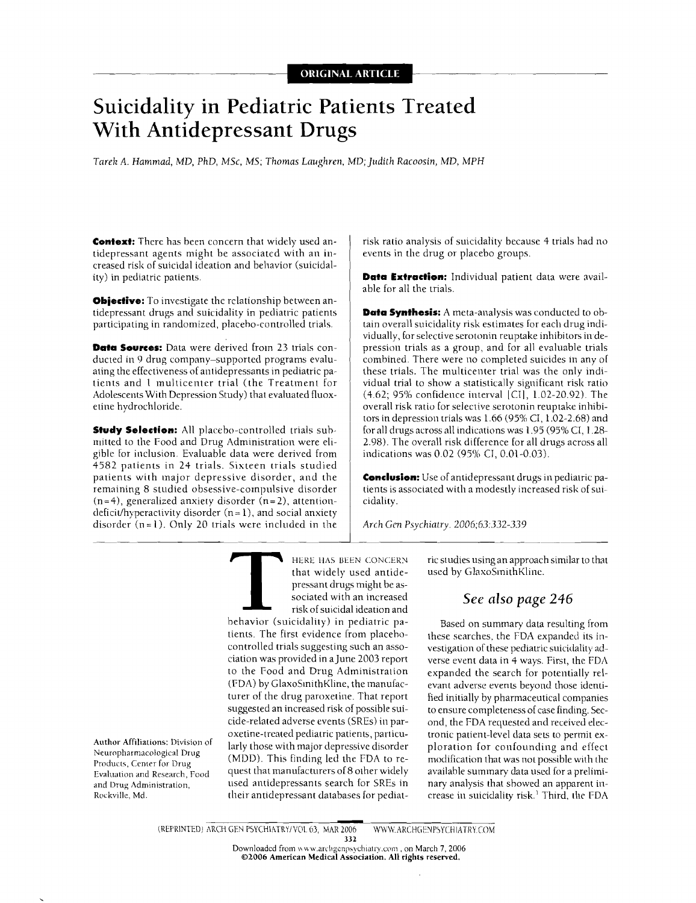# **Suicidality in Pediatric Patients Treated With Antidepressant Drugs**

*Tareh* A. *Hammad,* MD, *PhD,* MSc, MS; *Thomas Laughrell, MD;]udith Racoosin, MD, MPH* 

**Context:** There has been concern that widely used antidepressant agents might be associated with an increased risk of suicidal ideation and behavior (suicidality) in pediatric patients

**Obiective:** To investigate the relationship between antidepressant drugs and suicidality in pediatric patients participating in randomized, placeho-controlled trials.

**Data Sources:** Data were derived from 23 trials conducted in 9 drug company-supported programs evaluating the effectiveness of antidepressants in pediatric patients and I multicenter trial (the Treatment for Adolescents With Depression Study) that evaluated fluoxetine hydrochloride.

**Study Selection:** All placebo-controlled trials suhmitted to the Food and Drug Administration were eligible for inclusion. Evaluable data were derived from 4582 patients in 24 trials. Sixteen trials studied patients with major depressive disorder, and the remaining 8 studied obsessive-compulsive disorder  $(n=4)$ , generalized anxiety disorder  $(n=2)$ , attentiondeficit/hyperactivity disorder  $(n=1)$ , and social anxiety disorder  $(n=1)$ . Only 20 trials were included in the risk ratio analysis of suicidality because 4 trials had no events in the drug or placebo groups.

**Data Extraction:** Individual patient data were available for all the trials.

**Data Synthesis:** A meta-analysis was conducted to obtain overall suicidality risk estimates for each drug individually, for selective serotonin reuptake inhibitors indepression trials as a group, and for all evaluable trials comhined. There were no completed suicides in any of these trials. The multicenter trial was the only individual trial to show a statistically significant risk ratio  $(4.62; 95\%$  confidence interval  $|CI|$ , 1.02-20.92). The overall risk ratio for selective serotonin reuptake inhibitors in depression trials was 1.66 (95% CI, 1.02-2.68) and for all drugs across all indications was  $1.95$  (95% CI, 1.28-2.98). The overall risk difference for all drugs across all indications was 0.02 (95% CI, 0.01-0.03).

**Conclusion:** Use of antidepressant drugs in pediatric patients is associated with a modestly increased risk of suicidality.

*Arch Cen Psychiatry. 2006;63:.332-339* 

Author Affiliations: Division of Neuropharmacological Drug Products, Center for Drug Evaluation and Research, Food and Drug Administration, Rockville, Md.

THERE HAS BEEN CONCERN that widely used antide-<br>pressant drugs might be as-<br>sociated with an increased<br>risk of suicidal ideation and<br>behavior (suicidality) in pediatric pathat widely used antidepressant drugs might be associated with an increased risk of suicidal ideation and tients. The first evidence from placehocontrolled trials suggesting such an association was provided in a June 2003 report to the Food and Drug Administration (FDA) hy ClaxoSmithKline, the manufacturer of the drug paroxetine. That report suggested an increased risk of possible suicide-related adverse events (SREs) in paroxetine-treated pediatric patients, particularly those with major depressive disorder (MDD). This finding led the FDA to request that manufacturers of 8 other widely used antidepressants search for SREs in

ric studies using an approach similar to that used by GlaxoSmithKline.

# *See also page 246*

Based on summary data resulting from these searches, the FDA expanded its investigation of these pediatric suicidality adverse event data in 4 ways. First, the FDA expanded the search for potentially relevant adverse events beyond those identified initially by pharmaceutical companies to ensure completeness of case finding. Second, the FDA requested and received electronic patient-level data sets to permit exploration for confounding and effect modification that was not possible with the availahle summary data used for a preliminary analysis that sbowed an apparent increase in suicidality risk.} Third, the FDA

(REPRINTED) ARCH GEN PSYCHIATRY/VOL 63, MAR 2006 WWW.ARCHGENPSYCHIATRY.COM 332 Downloaded from www.archgenpsychiatry.com, on March 7, 2006<br>©2006 American Medical Association, All rights reserved,

their antidepressant datahases for pediat-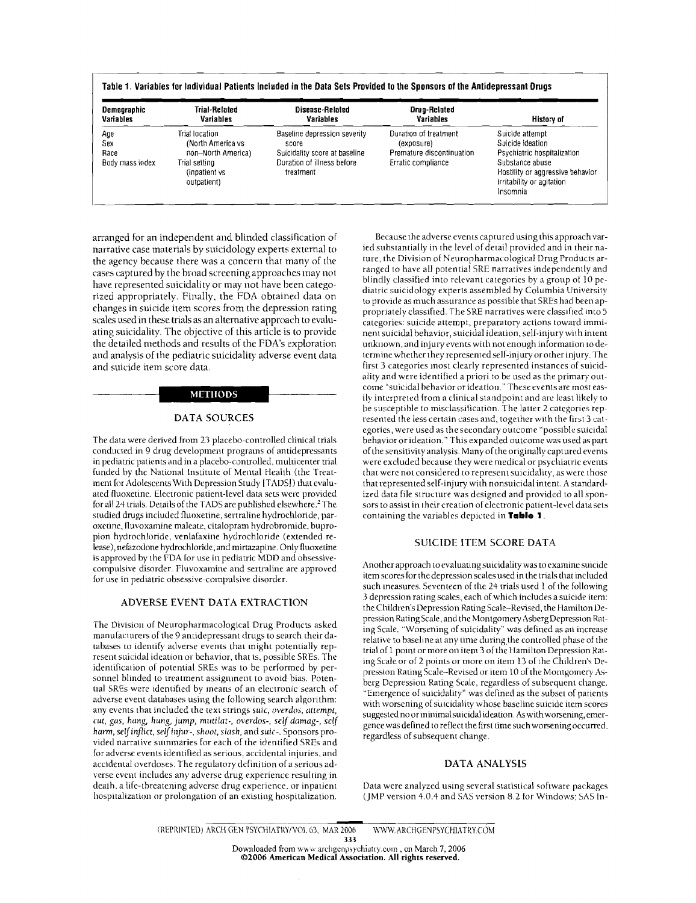| <b>Demographic</b>                    | <b>Trial-Related</b>                                                                                       | Disease-Related                                                                                                   | Drug-Related                                                                           | History of                                                                                                                                                         |
|---------------------------------------|------------------------------------------------------------------------------------------------------------|-------------------------------------------------------------------------------------------------------------------|----------------------------------------------------------------------------------------|--------------------------------------------------------------------------------------------------------------------------------------------------------------------|
| <b>Variables</b>                      | <b>Variables</b>                                                                                           | <b>Variables</b>                                                                                                  | Variables                                                                              |                                                                                                                                                                    |
| Age<br>Sex<br>Race<br>Body mass index | Trial location<br>(North America vs<br>non-North America)<br>Trial setting<br>(inpatient vs<br>outpatient) | Baseline depression severity<br>score<br>Suicidality score at baseline<br>Duration of illness before<br>treatment | Duration of treatment<br>(exposure)<br>Premature discontinuation<br>Erratic compliance | Suicide attempt<br>Suicide ideation<br>Psychiatric hospitalization<br>Substance abuse<br>Hostility or aggressive behavior<br>Irritability or agitation<br>Insomnia |

arranged for an independent and blinded classification of narrative case materials by suicidology experts external to the agency because there was a concern that many of the cases captured by the broad screening approaches may not have represented suicidality or may not have been categorized appropriately. Finally, the FDA obtained data on changes in suicide item scores from the depression rating scales used in these trials as an alternative approach to evaluating suicidality. The objective of this article is to provide the detailed methods and results of the FDA's exploration and analysis of the pediatric suicidality adverse event data and suicide item score data.

## **METHODS**

# DATA SOURCES

The data were derived from 23 placebo-controlled clinical trials conducted in 9 drug development programs of antidepressants in pediatric patients and in a placebo-controlled, multicenter trial funded by the National Institute of Mental Health (the Treatment for Adolescents With Depression Study [TADS]) that evaluated fluoxetine. Electronic patient-level data sets were provided for all 24 trials. Details of the TAOS are published elsewhere.' The studied drugs included fluoxetine, sertraline hydrochloride, paroxetine, fluvoxamine maleate, citalopram hydrobromide, bupropion hydrochloride, venlafaxine hydrochloride (extended release), nefazodone hydrochloride, and mirtazapine. Only fluoxetine is approved by the FDA [or use in pediatric MOD and obsessivecompulsive disorder. Fluvoxamine and sertraline are approved for use in pediatric obsessive-compulsive disorder.

#### ADVERSE EVENT DATA EXTRACTION

The Division of Neuropharmacological Drug Products asked manufacturers of the 9 antidepressant drugs to search their databases to identify adverse events that might potentially represent suicidal ideation or behavior, that is, possible SREs. The identification of potential SREs was to be performed by personnel blinded to treatment assignment to avoid bias. Potential SREs were identified by means of an electronic search of adverse event databases using the following search algorithm: any events that included the text strings *suic, overdos, attempt, cut, gas,* hang, *hung, jump, mutilat-, overdos-, self damag-, self harm, selfinflict, selfinjur-, shoot, slash,* and *suic-.* Sponsors provided narrative summaries for each of the identified SREs and for adverse events identified as serious, accidental injuries, and accidemal overdoses. The regulatory definition of a serious adverse event includes any adverse drug experience resulting in dealh. a life-threatening adverse drug experience. or inpatient hospitalization or prolongation of an existing hospitalization.

Because the adverse events captured using this approach varied substantially in the level of detail provided and in their nature, the Division of Neuropharmacological Drug Products arranged to have all potentia] SRE narratives independently and blindly classified into relevant categories by a group of 10 pediatric suicidology experts assembled by Columbia University to provide as much assurance as possible that SREs had been appropriately classified. The SRE narratives were classified into 5 categories: suicide attempt, preparatory actions toward imminent suicidal behavior, suicidal ideation, sell-injury with intent unknown, and injury events with not enough information to determine whether they represented self-injury or other injury. The first 3 categories most clearly represented instances of suicidality and were identified a priori to be used as the primary outcome "suicidal behavior or ideation." These events are most easily interpreted from a clinical standpoint and are least likely to be susceptible to misclassification. The latter 2 categories represented the less certain cases and, together with the first 3 categories, were used as the secondary outcome "possible suicidal behavior or ideation." This expanded outcome was used as part of the sensitivity analysis. Many of the originally captured events were excluded because they were medical or psychiatric events that were not considered to represent suicidality, as were those that represented self-injury with nonsuicidal intent. A standardized data file structure was designed and provided to all sponsors to assist in their creation of electronic patient-level data sets containing the variables depicted in **Table 1.** 

### SUICIDE ITEM SCORE DATA

Another approach to evaluating suicidalitywas to examine suicide item scores for the depression scales used in the trials that included such measures. Seventeen of the 24 trials used 1 of the following :3 depression rating scales, each of which includes a suicide item: the Children's Depression Rating Scale-Revised, the Hamilton Depression Rating Scale, and the Montgomery Asberg Depression Rating Scale. "Worsening of suicidality" was defined as an increase relative to baseline at any time during the controlled phase of the trial of 1 point or more on item 3 of the Hamilton Depression Rating Scale or of 2 points or more on item 13 of the Children's Depression Rating Scale-Revised or item 10 of the Montgomery Asberg Depression Rating Scale., regardless of subsequent change. "Emergence of suicidality" was defined as the subset of patients with worsening of suicidality whose baseline suicide item scores suggesteclno or minimalsuicidal ideation. Aswithworsening, emergence was defined to reflect the first time such worsening occurred. regardless of subsequent change.

# DATA ANALYSIS

Data were analyzed using several statistical software packages (JMP version 4.0.4 and SAS version 8.2 for Windows; SAS In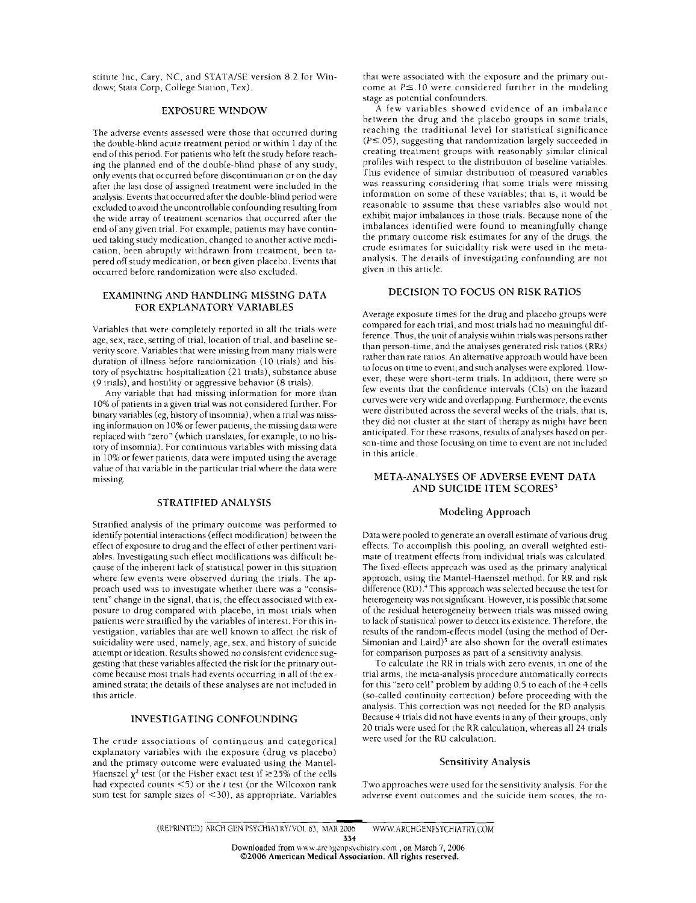stitute Inc, Cary, NC, and STATA/SE version 8.2 for Windows; Stata Corp, College Station, Tex).

# EXPOSURE WINDOW

The adverse events assessed were those that occurred during the double-blind acute treatment period or within 1 day of the end of this period. For patients who left the study before reaching the planned end of the double-blind phase of any study, only events that occurred before discontinuation or on the day after the last dose of assigned treatment were included in the analysis. Events that occurred after the double-blind period were excluded to avoid the uncontrollable confounding resulting from the wide array of treatment scenarios that occnrred after the end of any given trial. For example, patients may have continued taking study medication, changed to another active medication, been abruptly withdrawn from treatment, been tapered off study medication, or been given placebo. Events that occurred before randomization were also excluded.

## EXAMINING AND HANDLING MISSING DATA FOR EXPLANATORY VARIABLES

Variables that were. completely reported in all the trials were age, sex, race, setring of trial, location of trial, and baseline severity score. Variables that were missing from many trials were duration of illness before randomization (10 trials) and history of psychiatric hospitalization (21 trials), substance abuse (9 trials), and hostility or aggressive behavior (8 trials).

Any variable that had missing information for more than 10% of patients in a given trial was not considered further. For binary variables (eg, history of insomnia), when a trial was missing information on 10% or fewer patients, the missing data were replaced with "zero" (which translates, for example, to no history of insomnia). For continuous variables with missing data in 10% or fewer patients, data were imputed using the average value of that variable in the particular trial where the data were missing.

# STRATIFIED ANALYSIS

Stratified analysis of the primary outcome was performed to identify potential interactions (effect modification) between the effect of exposure to drug and the effect of other pertinent variables. Investigating such effect modifications was difficult because of the inherent lack of statistical power in this situation where few events were observed during the trials. The approach used was to investigate whether there was a "consistent" change in the signal, that is, the effect associated with exposure to drug compared with placebo, in most trials when patients were stratified by the variables of interest. For this investigation, variables thar are well known to affect the risk of suicidality were used, namely, age, sex, and history of suicide attempt or ideation. Results showed no consistent evidence suggesting that these variables affected the risk for the primary outcome hecause most trials had events occurring in all of the examined strata; the details of these analyses are not included in this article.

# INVESTIGATING CONFOUNDING

The crude associations of continuous and categorical explanatory variables with the exposure (drug vs piacebo) and the primary outcome were evaluated using the Mantel-Haenszel  $\chi^2$  test (or the Fisber exact test if  $\geq 25\%$  of the cells had expected counts <5) or the *t* test (or the Wilcoxon rank sum test for sample sizes of <30), as appropriate. Variables

thar were associated with the exposure and the primary outcome at  $P \le 10$  were considered further in the modeling stage as potential confounders.

A few variables showed evidence of an imbalance between the drug and the placebo groups in some trials, reaching the traditional level for stalistical significance  $(P \le 05)$ , suggesting that randomization largely succeeded in creating treatment groups wilh reasonably similar clinical profiles with respect to the distribution 01 baseline variables. This evidence of similar distribution of measured variables was reassuring considering that some trials were missing information on some of these variables; that is, it would be reasonable to assume thai these variables also would not exhibit major imbalances in those trials. Because none of the imbalances identified were found to meaningfully change the primary outcome risk estimates for any of the drugs, the crude estimates for suicidality risk were used in the meta-<br>crude estimates for suicidality risk were used in the meta-<br>analysis. The details of investigating confounding are no<br>given in this article. analysis. The details of investigating confounding are not

# DECISION TO FOCUS ON RISK RATIOS

Average exposure times for the drug and placebo groups were compared for each trial, and most trials had no meauingful difference. Thus, the unit of analysis within trials was persons rather than person-time, and the analyses generated risk ratios (RRs) rather than rate ratios. An alternative approach would have been to locus on time to event, and such analyses were explored. 1fowever, these were short-term trials. In addition, there were so few events that the confidence intervals (CIs) on the hazard curves were very wide and overlapping. Furthermore, the events were distributed across the several weeks of the trials, that is, they did not cluster at the start of therapy as might have been anticipated. For these reasons, results of analyses based on person-time and those focusing on time to event are not included in this article

## META-ANALYSES OF ADVERSE EVENT DATA AND SUICIDE ITEM SCORES)

#### Modeling Approach

Data were pooled to generate an overall estimate of various drug effects. To accomplish this pooling, an overall weighted estimate of treatment effects from individual trials was calculated. The fixed-effects approach was used as the primary analytical approach. using the Mantel-Haenszel method, for RR and risk difference (RD).<sup>4</sup> This approach was selected because the test for heterogeneity was not significant. However, it is possible that some of the residual heterogeneity between trials was missed owing to lack of statistical power to detect its existence. Therefore, the results of the random-effects model (using the method of Der-Simonian and Laird<sup>3</sup> are also shown for the overall estimates for comparison purposes as part of a sensitivity analysis.

To calculate the RR in trials with zero events, in one of the trial arms, the meta-analysis procedure automatically corrects for this "zero cell" problem by adding 0.5 to each of the 4 cells (so-called continuity correction) before proceeding with the analysis. This correction was not needed for the RD analysis. Because 4 trials did not have events in any of their groups, only 20 trials were used for the RR calculation, whereas all 24 trials were used for the RD calculation.

#### Sensitivity Analysis

Two approaches were used for the sensitivity analysis. For the adverse event outcomes and the suicide item scores, the ro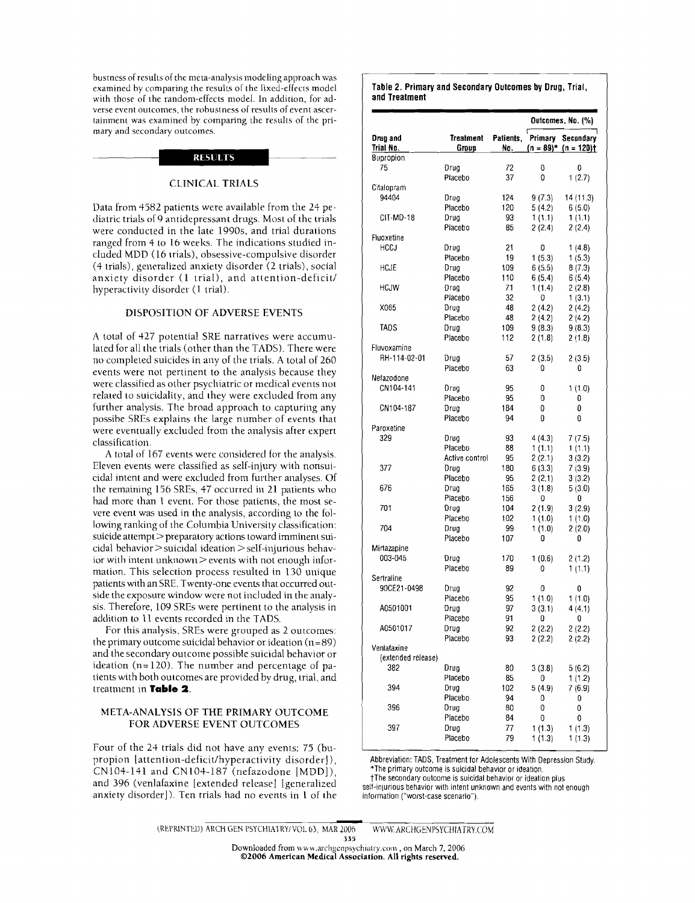--- bustness of results of the meta-analysis modeling approach was examined by comparing the results of the fixed-effects model **Table 2. Primary and Secondary Outcomes by Drug, Trial,** with those of the random-effects model. In addition, for adverse event outcomes, the robustness of results of event ascertainment was examined by comparing the results of the primary and secondary outcomes.

#### **RESULTS**

#### CLINICAL TRIALS

Data from 4582 patients were available from the 24 pediatric trials 01'9 antidepressant drugs. Most of the trials were conducted in the late I990s, and trial durations ranged from 4 to 16 weeks. The indications studied ineluded MDD (16 trials), obsessive-compulsive disorder (4 trials), generalized anxiety disorder (2 trials), social anxiety disorder (I trial), and attention-deficit/ hyperactivity disorder (1 trial).

## DISPOSITION OF ADVERSE EVENTS

A total of 427 potential SRE narratives were accumulated for all the trials (other than the TADS). There were no completed suicides in any of the trials. A total of 260 events were not pertinent to the analysis because they were classified as other psychiatric or medical events not related to suicidality, and they were excluded from any further analysis. The broad approach to capturing any possibe SREs explains the large number of events that were eventualJy excluded from the analysis after expert classification.

A total of 167 events were considered for the analysis. Eleven events were classified as self-injury with nonsuicidal intent and were excluded from further analyses. Of the remaining 156 SREs, 47 occurred in 21 patients who had more than 1 event. For those patients, the most severe event was used in the analysis, according to the following ranking of the Columbia University classification: suicide attempt > preparatory actions toward imminent suicidal hehavior> suicidal ideation> self-injurious behavior with intent unknown $>$  events with not enough information. This selection process resulted in 130 unique patients with an SRE. Twenty-one events that occurred outside the exposure window were not included in the analysis. Therefore, 109 SREs were pertinent to the analysis in addition to 11 events recorded in the TADS.

For this analysis, SREs were grouped as 2 outcomes: the primary outcome suicidal behavior or ideation  $(n=89)$ and the secondary outcome possible suicidal behavior or ideation  $(n=120)$ . The number and percentage of patients with both outcomes are provided by drug, trial, and treatment in **Table** 2.

# META-ANALYSIS OF THE PRIMARY OUTCOME FOR ADVERSE EVENT OUTCOMES

Four of the 24 trials did not have any events: 75 (bupropion [attention-deficit/hyperactivity disorder]), CNI04-141 and CNI04-187 (nefazodone [MDD]), and 396 (venlafaxine [extended release] [generalized anxiety disorder]). Ten trials had no events in 1 of the and Treatment

|                             |                           |                  |                   | Outcomes, No. (%)                       |
|-----------------------------|---------------------------|------------------|-------------------|-----------------------------------------|
| Drug and<br>Trial No.       | <b>Treatment</b><br>Group | Patients,<br>No. | Primary           | Secondary<br>$(n = 89)^*$ $(n = 120)$ t |
| <b>Bupropion</b>            |                           |                  |                   |                                         |
| 75                          | Drug                      | 72               | 0                 | 0                                       |
|                             | Placebo                   | 37               | 0                 | 1(2.7)                                  |
| Citalopram<br>94404         |                           | 124              |                   |                                         |
|                             | Drug<br>Placebo           | 120              | 9(7.3)<br>5 (4.2) | 14 (11.3)<br>6(5.0)                     |
| CIT-MD-18                   | Drug                      | 93               | 1(1.1)            | 1(1.1)                                  |
|                             | Placebo                   | 85               | 2(2.4)            | 2 (2.4)                                 |
| Fluoxetine                  |                           |                  |                   |                                         |
| HCCJ                        | Drug                      | 21               | 0                 | 1(4.8)                                  |
|                             | Placebo                   | 19               | 1(5.3)            | 1(5.3)                                  |
| HCJE                        | Drug                      | 109              | 6(5.5)            | 8(7.3)                                  |
|                             | Placebo                   | 110              | 6(5.4)            | 6(5.4)                                  |
| <b>HCJW</b>                 | Drug                      | 71               | 1(1.4)            | 2(2.8)                                  |
|                             | Placebo                   | 32               | 0                 | 1(3.1)                                  |
| X065                        | Drug                      | 48               | 2(4.2)            | 2(4.2)                                  |
|                             | Placebo                   | 48               | 2(4.2)            | 2(4.2)                                  |
| TADS                        | Drug                      | 109              | 9(8.3)            | 9(8.3)                                  |
|                             | Placebo                   | 112              | 2(1.8)            | 2(1.8)                                  |
| Fluvoxamine<br>RH-114-02-01 |                           |                  |                   |                                         |
|                             | Drug<br>Placebo           | 57<br>63         | 2(3.5)<br>0       | 2(3.5)<br>0                             |
| Nefazodone                  |                           |                  |                   |                                         |
| CN104-141                   | Drug                      | 95               | 0                 | 1 (1.0)                                 |
|                             | Placebo                   | 95               | 0                 | 0                                       |
| CN104-187                   | Drug                      | 184              | 0                 | 0                                       |
|                             | Placebo                   | 94               | 0                 | 0                                       |
| Paroxetine                  |                           |                  |                   |                                         |
| 329                         | Drug                      | 93               | 4(4.3)            | 7(7.5)                                  |
|                             | Placebo                   | 88               | 1(1.1)            | 1(1.1)                                  |
|                             | Active control            | 95               | 2(2.1)            | 3 (3.2)                                 |
| 377                         | Drug                      | 180              | 6(3.3)            | 7(3.9)                                  |
|                             | Placebo                   | 95               | 2 (2.1)           | 3(3.2)                                  |
| 676                         | Drug                      | 165              | 3(1.8)            | 5(3.0)                                  |
|                             | Placebo                   | 156              | 0                 | 0                                       |
| 701                         | Drug                      | 104              | 2(1.9)            | 3(2.9)                                  |
| 704                         | Placebo<br>Drug           | 102<br>99        | 1(1.0)            | 1 (1.0)<br>2(2.0)                       |
|                             | Placebo                   | 107              | 1(1.0)<br>0       | 0                                       |
| Mirtazapine                 |                           |                  |                   |                                         |
| 003-045                     | Drug                      | 170              | 1(0.6)            | 2 (1.2)                                 |
|                             | Placebo                   | 89               | 0                 | 1(1.1)                                  |
| Sertraline                  |                           |                  |                   |                                         |
| 90CE21-0498                 | Drug                      | 92               | 0                 | 0                                       |
|                             | Placebo                   | 95               | 1(1.0)            | 1(1.0)                                  |
| A0501001                    | Drug                      | 97               | 3(3.1)            | 4 (4.1)                                 |
|                             | Placebo                   | 91               | n                 | $\mathbf{0}$                            |
| A0501017                    | Drug                      | 92               | 2(2.2)            | 2(2.2)                                  |
|                             | Placebo                   | 93               | 2(2.2)            | 2(2.2)                                  |
| Venlafaxine                 |                           |                  |                   |                                         |
| (extended release)          |                           |                  |                   |                                         |
| 382                         | Drug                      | 80               | 3(3.8)            | 5(6.2)                                  |
| 394                         | Placebo<br>Drug           | 85<br>102        | 0<br>5(4.9)       | 1(1.2)<br>7(6.9)                        |
|                             | Placebo                   | 94               | 0                 | 0                                       |
| 396                         | Drug                      | 80               | 0                 | 0                                       |
|                             | Placebo                   | 84               | 0                 | 0                                       |
| 397                         | Drug                      | 77               | 1(1.3)            | 1 (1.3)                                 |
|                             | Placebo                   | 79               | 1(1.3)            | 1(1.3)                                  |

Abbreviation: TAOS, Treatment for Adolescents With Depression Study. \*The primary outcome is suicidal behavior or ideation.

tThe secondary outcome is suicidal behavior or ideation plus self-inlurious behavior with intent unknown and events with not enough information ("worst-case scenario").

\\lEPRINTEDJ ARCH GEN PSYCHIATRY/VOL 63, MAR 2006 WWWARCHGENPSYCHIATRY.COM 335 335<br>Downloaded from www.archgenpsychiatry.com , on March 7, 2006<br>©2006 American Medical Association. All rights reserved.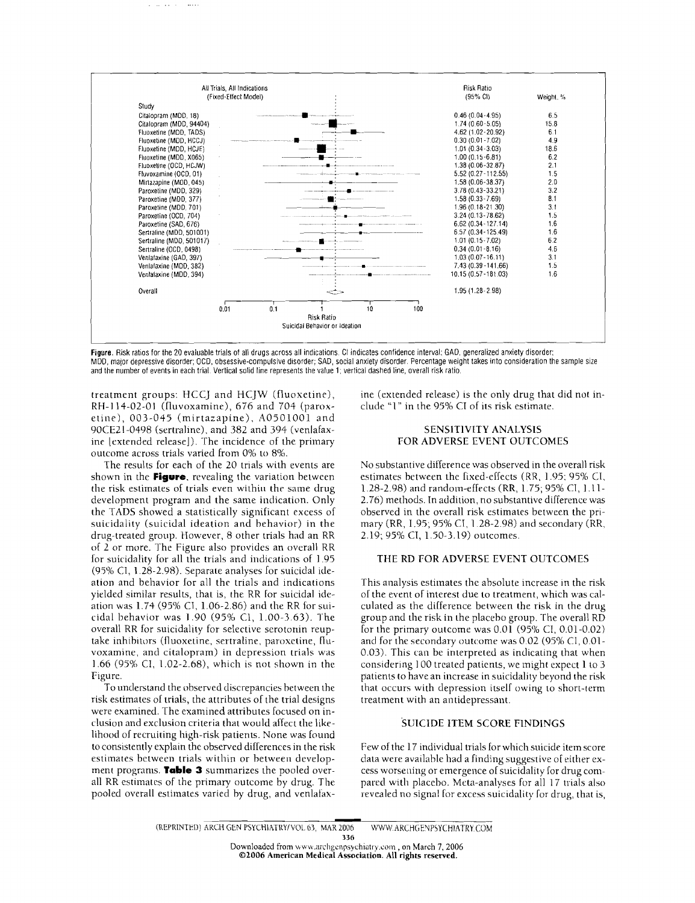

Figure. Risk ratios for the 20 evaluable trials of all drugs across all indications. Cl indicates confidence interval; GAD, generalized anxiety disorder; **Figure**. Risk ratios for the 20 evaluable trials of all drugs across all indications. Cl indicates confidence interval; GAD, generalized anxiety disorder;<br>MDD, major depressive disorder; OCD, obsessive-compulsive disorder and the number of events in each trial. Vertical solid line represents the value 1; vertical dashed line, overall risk ratio.

treatment groups: HCC] and HC]W (fluoxetine), RH-114-02-01 (fluvoxamine), 676 and 704 (paroxetine), 003-045 (mirtazapine), A0501001 and 90CE21-0498 (sertraline), and 382 and 394 (venlafaxine [extended release]). The incidence of the primary outcome across trials varied from 0% to 8%.

all also a

The results for each of the 20 trials with events are shown in the **Figure,** revealing the variation between the risk estimates of trials even within the same drug development program and the same indication. Only the TADS showed a statistically significant excess of suicidality (suicidal ideation and behavior) in the drug-treated group. However, 8 other trials had an RR of 2 or more. The Figure also provides an overall RR for suicidality for all the trials and indications of 1.95 (95% CI, 1.28-2.98). Separate analyses for suicidal ideation and behavior for all the trials and indications yielded similar results, that is, the RR for suicidal ideation was 1. 74 (95% CI, 1.06-2.86) and the RR for suicidal behavior was  $1.90$  (95% Cl,  $1.00-3.63$ ). The overall RR for suicidality for selective serotonin reuptake inhibitors (fluoxetine, sertraline, paroxetine, fluvoxamine, and citalopram) in depression trials was 1.66 (95% CI, 1.02-2.68), which is not shown in the Figure.

To understand the observed discrepancies between the risk estimates of trials, the attributes of the trial designs were examined. The examined attributes focused on inclusion and exclusion criteria that would affect the likelihood of recruiting high-risk patients. None was found to consistently explain the observed differences in the risk estimates between trials within or between development programs. **Table 3** summarizes the pooled overall RR estimates of the primary outcome by drug. The pooled overall estimates varied by drug, and venlafaxine (extended release) is the only drug that did not include "1" in the 95% CI of its risk estimate.

# SENSITIVITY ANALYSIS FOR ADVERSE EVENT OUTCOMES

No substantive difference was observed in the overall risk estimates between the fixed-effects (RR, 1.95; 95% CI, 1.28-2.98) and random-effects (RR, 1.75; 95% CI, I.ll-2.76) methods. In addition, no substantive difference was observed in the overall risk estimates between the primary (RR, 1.95; 95% CI, 128-2.98) and secondary (RR, 2.19; 95% CI, 1.50-3.19) outcomes.

# THE RD FOR ADVERSE EVENT OUTCOMES

This analysis estimates the absolute increase in the risk of the event of interest due to treatment, which was calculated as the difference between the risk in the drug group and the risk in the placebo group. The overall RD for the primary outcome was 0.01 (95% CI, 0.01-0.02) and for the secondary outcome was  $0.02$  (95% CI, 0.01-0.03). This can be interpreted as indicating that when considering 100 treated patients, we might expect 1 to 3 patients to have an increase in suicidality beyond the risk that occurs with depression itself owing to short-term treatment with an antidepressant.

# 'SUICIDE ITEM SCORE FINDINGS

Few of the 17 individual trials for which suicide item score data were available had a finding suggestive of either excess worsening or emergence of suicidality for drug compared with placebo. Meta-analyses for all 17 trials also revealed no signal for excess suicidality for drug, that is,

(REPRINTED) ARCH GEN PSYCHIATRY/VOL 63, MAR 2006 WWW.ARCHGENPSYCHIATRY.COM 336 Downloaded from www.archgenpsychiatry.com , on March 7, 2006 ©2006 American Medical Association, All rights reserved.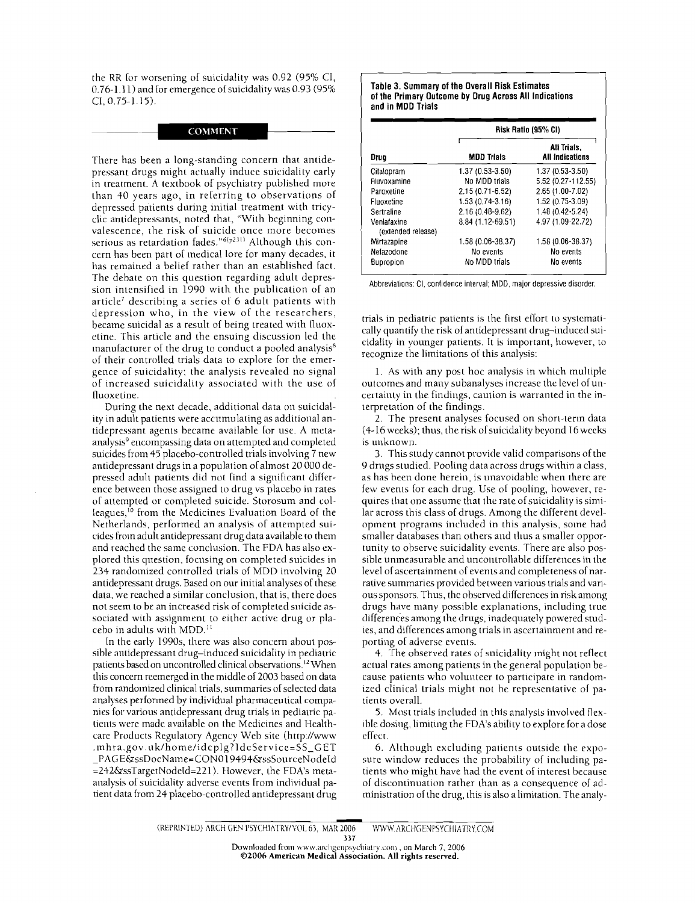the RR for worsening of suicidality was 0.92 (95% CI, 0.76-1.11) and for emergence of suicidality was 0.93 (95% CI,0.75-115).

# COMMENT

There has been a long-standing concern that antidepressant drugs might actually induce suicidality early in treatment. A textbook of psychiatry published more than 40 years ago, in referring to observations of depressed patients during initial treatment with tricyclic antidepressants, noted that, "With beginning convalescence, the risk of suicide once more becomes serious as retardation fades."<sup>6(p231)</sup> Although this concern has been part of medical lore for many decades, it has remained a belief rather than an established fact. The debate on this question regarding adult depression intensified in 1990 with the publication of an article? describing a series of 6 adult patients with depression who, in the view of the researchers, became suicidal as a result of being treated with fluoxetine. This article and the ensuing discussion led the manufacturer of the drug to conduct a pooled analysis<sup>8</sup> of their controlled trials data to explore for the emergence of suicidality; the analysis revealed no signal of increased suicidality associated with the use of fluoxetine.

During the next decade, additional data on suicidality in adult patients were accumulating as additional antidepressant agents became available for use. A melaanalysis<sup>9</sup> encompassing data on attempted and completed suicides from 45 placebo-controlled trials involving 7 new antidepressant drugs in a population of almost 20 000 depressed adult patients did not find a significant difference between those assigned to drug vs placebo in rates of attempted or completed suicide. Storosum and colleagues,<sup>10</sup> from the Medicines Evaluation Board of the Netherlands, performed an analysis of attempted suicides from adult antidepressant drug data available to them and reached the same conclusion. The FDA has also explored this question, focusing on completed suicides in 234 randomized controlled trials of MDD involving 20 antidepressant drugs. Based on our initial analyses of these data, we reached a similar conclusion, that is, there does not seem to be an increased risk of completed suicide associated with assignment to either active drug or placebo in adults with MDD.<sup>11</sup>

In the early 1990s, there was also concern about possible antidepressant drug-induced suicidality in pediatric patients based on uncontrolled clinical observations. 12 When this concern reemerged in the middle of 2003 based on data from randomized clinical trials, summaries of selected data analyses performed by individual pharmaceutical companies for various antidepressant drug trials in pediatric patients were made available on the Medicines and Healthcare Products Regulatory Agency Web site (http://www .mhra.gov.uk/home/idcplg?IdcService=SS\_GET PAG E&ssDocName=CONO 19494&ssSourceNodeId =242&ssTargetNodeld=221). However, the FDA's metaanalysis of sui cidality adverse events from individual patient data from 24 placebo-controlled antidepressant drug

#### Table 3. Summary 01 the Overall Risk Estimates 01 the Primary Outcome by Drug Across All Indications and in MDD Trials

|                                   | Risk Ratio (95% CI) |                                       |  |  |
|-----------------------------------|---------------------|---------------------------------------|--|--|
| Drug                              | <b>MDD Trials</b>   | All Trials.<br><b>All Indications</b> |  |  |
| Citalopram                        | 1.37 (0.53-3.50)    | 1.37 (0.53-3.50)                      |  |  |
| Fluvoxamine                       | No MDD trials       | 5.52 (0.27-112.55)                    |  |  |
| Paroxetine                        | $2.15(0.71 - 6.52)$ | 2.65 (1.00-7.02)                      |  |  |
| Fluoxetine                        | $1.53(0.74-3.16)$   | 1.52 (0.75-3.09)                      |  |  |
| Sertraline                        | $2.16(0.48-9.62)$   | 1.48 (0.42-5.24)                      |  |  |
| Venlafaxine<br>(extended release) | 8.84 (1.12-69.51)   | 4.97 (1.09-22.72)                     |  |  |
| Mirtazapine                       | 1.58 (0.06-38.37)   | 1.58 (0.06-38.37)                     |  |  |
| Nefazodone                        | No events           | No events                             |  |  |
| Bupropion                         | No MDD trials       | No events                             |  |  |

Abbreviations: CI, confidence intervai; MOD, major depressive disorder.

trials in pediatric patients is the first effort to systematically quantify the risk of antidepressant drug-induced suicidality in younger patients. It is important, however, to recognize the limitations of this analysis:

1. As with any post hoc analysis in which multiple outcomes and many subanalyses increase the level of uncertainty in the findings, caution is warranted in the interpretation of the findings.

2. The present analyses focused on short-term data (4-16 weeks); thus, the risk ofsuicidality beyond 16 weeks is unknown.

3. This study cannot provide valid comparisons of the 9 drugs studied. Pooling data across drugs within a class, as has been done herein, is unavoidable when there are few events for each drug. Use of pooling, however, requires that one assume that the rate of suicidality is similar across this class of drugs. Among the different development programs included in this analysis, some had smaller databases than others and thus a smaller opportunity to observe suicidality events. There are also possible unmeasurable and uncontrollable differences in the level of ascertainment of events and completeness of narrative summaries provided between various trials and various sponsors. Thus, the observed differences in risk among drugs have many possible explanations, including true differences among the drugs, inadequately powered studies, and differences among trials in ascertainment and reporting of adverse events.

4. The observed rates of suicidality might not reflect actual rates among patients in the general population because patients who volunteer to participate in randomized clinical trials might not be representative of patients overall.

5. Most trials included in this analysis involved flexible dosing, limiting the FDA's ability to explore for a dose effect.

6. Although excluding patients outside the exposure window reduces the probability of including patients who might have had the event of interest because of discontinuation rather than as a consequence of administration of the drug, this is also a limitation. The analy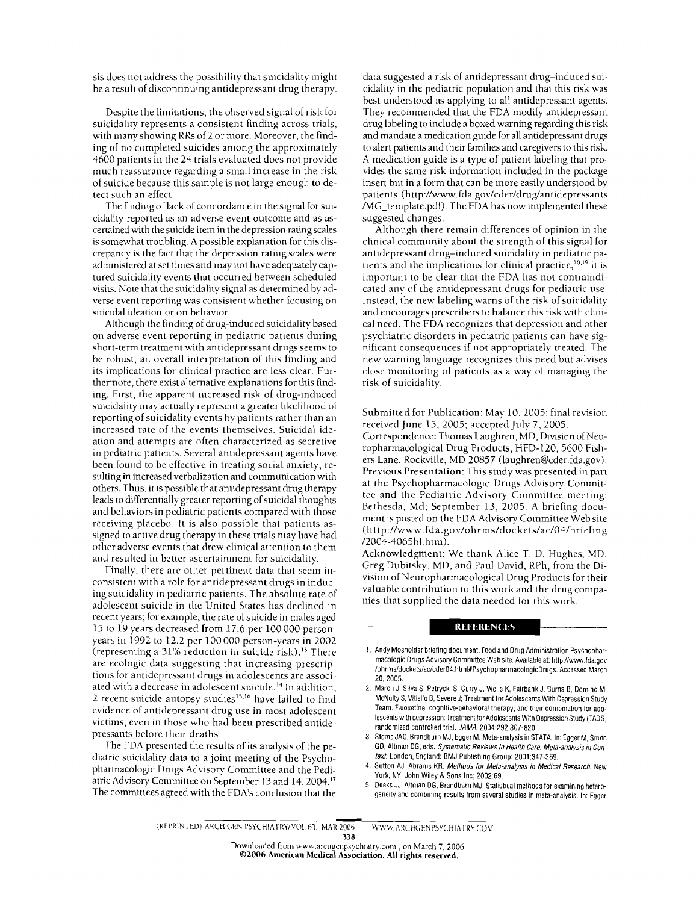sis does not address the possibility that suicidality might be a result of discontinuing antidepressant drug therapy.

Despite the limitations, the observed signal of risk for suicidality represents a consistent finding across trials, with many showing RRs of 2 or more. Moreover, the finding of no completed suicides among the approximately 4600 patients in the 24 trials evaluated does not provide much reassurance regarding a small increase in the risk of suicide because this sample is not large enough to detect such an effect.

The finding of lack of concordance in the signal for suicidality reported as an adverse event outcome and as ascertained with the suicide item in the depression rating scales is somewhat troubling. A possible explanation for this discrepancy is the fact that the depression rating scales were administered at set times and may not have adequately captured suicidality events that occurred between scheduled visits. Note that the suicidality signal as determined by adverse event reporting was consistent whether focusing on suicidal ideation or on behavior.

Although the finding of drug-induced suicidality based on adverse event reponing in pediatric patients during short-term treatment with antidepressant drugs seems to be robust, an overall interpretation of this finding and its implications for clinical practice are less clear. Furthennore, there exist alternative explanations for this finding. First, the apparent increased risk of drug-induced suicidality may actually represent a greater likelihood of reporting of suicidality events by patients rather than an increased rate of the events themselves. Suicidal ideation and attempts are often characterized as secretive in pediatric patients. Several antidepressant agents have been found to be effective in treating social anxiety, resulting in increased verbalization and communication with others. Thus, it is possible that antidepressant drug therapy leads to differentially greater reporting of suicidal thoughts and behaviors in pediatric patients compared with those receiving placebo. It is also possible that patients assigned to active drug therapy in these trials may have had other adverse events that drew clinical attention to them and resulted in better ascertainment for suicidality.

Finally, there are other pertinent data that seem inconsistent with a role for antidepressant drugs in inducing suicidality in pediatric patients. The absolute rate of adolescent suicide in the United States has declined in recent years; for example, the rate of suicide in males aged 15 to 19 years decreased from 17.6 per 100000 personyears in 1992 to J2.2 per 100000 person-years in 2002 (representing a 31% reduction in suicide risk).<sup>13</sup> There are ecologic data suggesting that increasing prescriptions for antidepressant drugs in adolescents are associated with a decrease in adolescent suicide. 14 ln addition, 2 recent suicide autopsy studies<sup>15,16</sup> have failed to find evidence of antidepressant drug use in most adolescent Victims, even in those who had been prescribed antidepressants before their deaths.

The FDA presented the results of its analysis of the pediatric suicidality data to a joint meeting of the Psychopharmacologic Dmgs Advisory Committee and the Pediatric Advisory Committee on September 13 and 14, 2004.<sup>17</sup> The committees agreed with the FDA's conclusion that the data suggested a risk of antidepressant drug-induced suicidality in the pediatric population and that this risk was best understood as applying to all antidepressant agents, They recommended that the FDA modify antidepressant drug labeling to include a boxed warning regarding this risk and mandate a medication guide for all antidepressant dmgs to alert patients and their families and caregivers to this risk. A medication guide is a type of patient labeling that provides the same risk information included in the package insert but in a form that can be more easily understood by patients (http://www.fda.gov/cder/drug/antidepressants /MG\_template.pdf). The FDA has now implemented these suggested changes.

Although there remain differences of opinion in the clinical community about the strength of this signal for antidepressant drug-induced suicidality in pediatric patients and the implications for clinical practice,  $18,19$  it is important to be clear that the FDA has not contraindicated any of the antidepressant drugs for pediatric use. Instead, the new labeling warns of the risk of suicidality and encourages prescribers to balance this risk with clinical need. The FDA recognizes that depression and other psychiatric disorders in pediatric patients can have significant consequences if not appropriately treated, The new warning language recognizes this need but advises close monitoring of patients as a way of managing the risk of suicidality,

Submitted for Publication: May 10, 2005; final revision received June 15, 2005; accepted July 7, 2005

Correspondence: Thomas Laughren, MD, Division of Neuropharmacological Drug Products, HFD-120, 5600 Fishers Lane, Rockville, MD 20857 (laughren@cder.fda.gov). Previous Presentation: This study was presented in part at the Psychopharmacologic Drugs Advisory Committee and the Pediatric Advisory Committee meeting; Bethesda, Md; September 13, 2005, A briefing document is posted on the FDA Advisory Committee Web site (http://www.fda.gov/ohrms/dockets/ac/04/briefing 12004-4065bLhtm). .

Acknowledgment: We thank Alice T. D. Hughes, MD, Greg Dubitsky, MD, and Paul David, RPh, from the Division of Neuropharmacological Drug Products for their valuable contribution to this work and the drug companies that supplied the data needed for this work.

## **REFERENCES**

- 1. Andy Mosholder briefing document. Food and Drug Administration Psychopharmacologic Drugs Advisory Committee Web site. Available at: http://www.fda.gov /ohrms/dockets/ac/cder04.html#PsychopharmacologicDrugs. Accessed March 20,2005.
- 2. March J. Silva S, Petrycki S, Curry J, Wells K, Fairbank J, Burns B, Domino M, McNulty S, Vitiello B, Severe J; Treatment for Adolescents With Depression Study Team. Fluoxetine, cognitive-behavioral therapy, and their combination for adolescents with depression: Treatment tor Adolescents With Depression Study (TAOS) randomized controlled trial. *JAMA.* 2004;292;B07-B20.
- 3. Sterne JAC, Brandburn MJ, Egger M. Meta-analysis in STATA. In: Egger M, Smith GD, Altman DG, eds. Systematic Reviews in Health Care: Meta-analysis in Context. London, England: BMJ Publishing Group; 2001 :347-369.
- 4. Sutton AJ, Abrams KR. Methods for Meta-analysis in Medical Research. New York, NY: John Wiley & Sons Inc: 2002:69.
- 5. Deeks JJ, Altman DG, Brandburn MJ. Statistical methods for examining heterogeneity and combining results from several studies in meta-analysis. In: Egger

(REPRINTED) ARCH GEN PSYCHIATRY/VOL 63, MAR 2006 WWW.ARCHGENPSYCHIATRY.COM 338 Downloaded from www.archgenpsychiatry.com, on March 7, 2006

©2006 American Medical Association, All rights reserved.